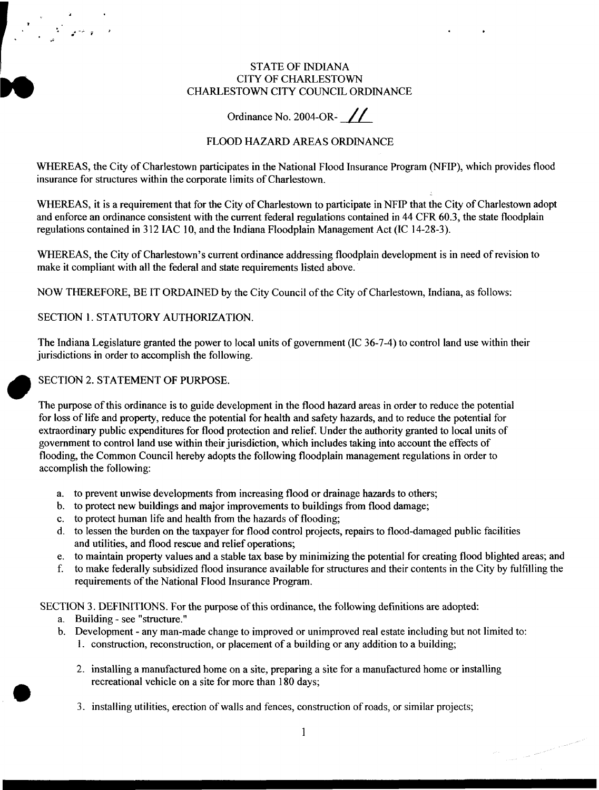#### STATE OF INDIANA CITY OF CHARLESTOWN CHARLESTOWN CITY COUNCIL ORDINANCE

# Ordinance No. 2004-OR- $\frac{1}{2}$

# FLOOD HAZARD AREAS ORDINANCE

WHEREAS, the City of Charlestown participates in the National Flood Insurance Program (NFIP), which provides flood insurance for structures within the corporate limits of Charlestown.

WHEREAS, it is a requirement that for the City of Charlestown to participate in NFIP that the City of Charlestown adopt and enforce an ordinance consistent with the current federal regulations contained in 44 CFR **60.3,** the state floodplain regulations contained in **3** 12 IAC **10,** and the Indiana Floodplain Management Act (IC 14-28-3).

WHEREAS, the City of Charlestown's current ordinance addressing floodplain development is in need of revision to make it compliant with all the federal and state requirements listed above.

NOW THEREFORE, BE IT ORDAINED by the City Council of the City of Charlestown, Indiana, as follows:

SECTION **1.** STATUTORY AUTHORIZATION.

The Indiana Legislature granted the power to local units of government (IC 36-7-4) to control land use within their jurisdictions in order to accomplish the following.

# SECTION 2. STATEMENT **OF** PURPOSE.

The purpose of this ordinance is to guide development in the flood hazard areas in order to reduce the potential **for** loss of life and property, reduce the potential for health and safety hazards, and to reduce the potential for extraordinary public expenditures for flood protection and relief. Under the authority granted to local units of government to control land use within their jurisdiction, which includes taking into account the effects of flooding, the Common Council hereby adopts the following floodplain management regulations in order to accomplish the following:

- a. to prevent unwise developments from increasing flood or drainage hazards to others;
- b. to protect new buildings and major improvements to buildings from flood damage;
- c. to protect human life and health from the hazards of flooding;
- d. to lessen the burden on the taxpayer for flood control projects, repairs to flood-damaged public facilities and utilities, and flood rescue and relief operations;
- e. to maintain property values and a stable tax base by minimizing the potential for creating flood blighted areas; and
- f. to make federally subsidized flood insurance available for structures and their contents in the City by fulfilling the requirements of the National Flood Insurance Program.

SECTION 3. DEFINITIONS. **For** the purpose of this ordinance, the following definitions are adopted

- a. Building see "structure."
- b. Development any man-made change to improved or unimproved real estate including but not limited to:
	- **1.** construction, reconstruction, **or** placement of a building **or** any addition to a building;
	- 2. installing a manufactured home on a site, preparing a site for a manufactured home **or** installing recreational vehicle on a site for more than 180 days;
	- *3.* installing utilities, erection **of** walls and fences, construction of roads, **or** similar projects;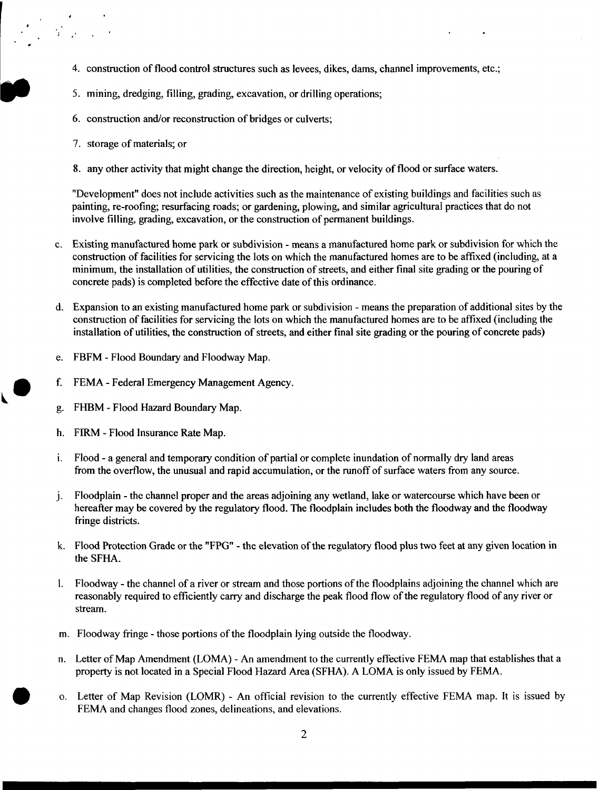- 4. construction of flood control structures such as levees, dikes, dams, channel improvements, etc.;
- 5. mining, dredging, filling, grading, excavation, or drilling operations;
- 6. construction and/or reconstruction of bridges or culverts;
- 7. storage of materials; or
- 8. any other activity that might change the direction, height, or velocity of flood or surface waters.

"Development" does not include activities such as the maintenance of existing buildings and facilities such as painting, re-roofing; resurfacing roads; or gardening, plowing, and similar agricultural practices that do not involve filling, grading, excavation, or the construction of permanent buildings.

- c. Existing manufactured home park or subdivision means a manufactured home park or subdivision for which the construction of facilities for servicing the lots on which the manufactured homes are to be affixed (including, at a minimum, the installation of utilities, the construction of streets, and either final site grading or the pouring of concrete pads) is completed before the effective date of this ordinance.
- d. Expansion to an existing manufactured home park or subdivision means the preparation of additional sites by the construction of facilities for servicing the lots on which the manufactured homes are to be affixed (including the installation of utilities, the construction of streets, and either final site grading or the pouring of concrete pads)
- FBFM Flood Boundary and Floodway Map. e.
- FEMA Federal Emergency Management Agency. f.
- FHBM Flood Hazard Boundary Map. g.
- h. FIRM - Flood Insurance Rate Map.
- Flood a general and temporary condition of partial or complete inundation of normally dry land areas i. from the overflow, the unusual and rapid accumulation, or the runoff of surface waters from any source.
- $\mathbf{i}$ . Floodplain - the channel proper and the areas adjoining any wetland, lake or watercourse which have been or hereafter may be covered by the regulatory flood. The floodplain includes both the floodway and the floodway fringe districts.
- k. Flood Protection Grade or the "FPG" the elevation of the regulatory flood plus two feet at any given location in the SFHA.
- Floodway the channel of a river or stream and those portions of the floodplains adjoining the channel which are  $\mathbf{l}$ . reasonably required to efficiently carry and discharge the peak flood flow of the regulatory flood of any river or stream.
- m. Floodway fringe those portions of the floodplain lying outside the floodway.
- n. Letter of Map Amendment (LOMA) An amendment to the currently effective FEMA map that establishes that a property is not located in a Special Flood Hazard Area (SFHA). A LOMA is only issued by FEMA.
- o. Letter of Map Revision (LOMR) An official revision to the currently effective FEMA map. It is issued by FEMA and changes flood zones, delineations, and elevations.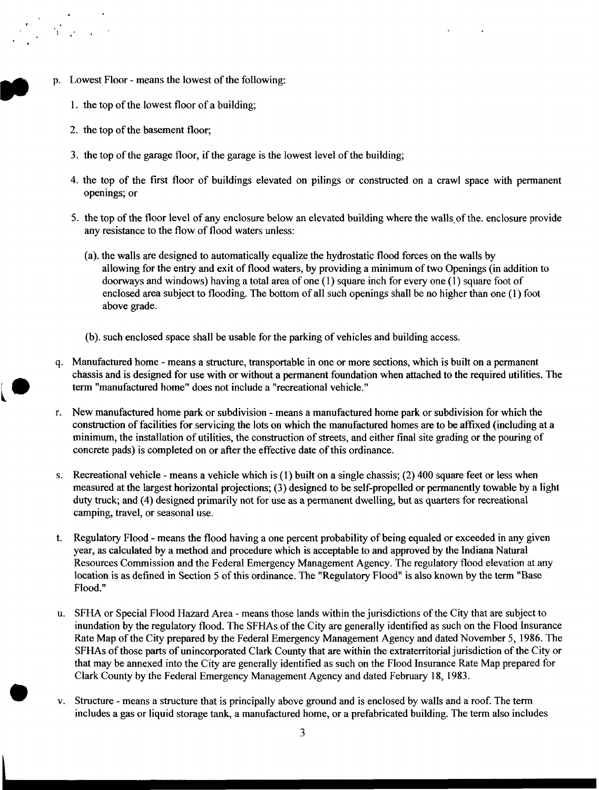- p. Lowest Floor means the lowest of the following:
	- 1. the top of the lowest floor of a building;
	- 2. the top of the basement floor;

: #' **<sup>I</sup>**

- 3. the top of the garage floor, if the garage is the lowest level of the building;
- **4.** the top of the first floor of buildings elevated on pilings or constructed on a crawl space with permanent openings; or
- 5. the top of the floor level of any enclosure below an elevated building where the walls of the. enclosure provide any resistance to the flow of flood waters unless:
	- (a). the walls are designed to automatically equalize the hydrostatic flood forces on the walls by allowing for the entry and exit of **flood** waters, by providing a minimum of two Openings (in addition to doorways and windows) having a total area of one (1) square inch for every one (1) square foot of enclosed area subject to flooding. The bottom of all such openings shall be no higher than one (1) foot above grade.
	- (b). such enclosed space shall be usable for the parking of vehicles and building access.
- q. Manufactured home means a structure, transportable in one or more sections, which is built on a permanent chassis and is designed for use with or without a permanent foundation when attached to the required utilities. The term "manufactured home" does not include a "recreational vehicle."  $\begin{array}{ccc}\n & & q. \\
& & \n\end{array}$ 
	- r. New manufactured home park or subdivision means a manufactured home park or subdivision for which the construction of facilities for servicing the lots on which the manufactured homes are to be affixed (including at a minimum, the installation of utilities, the construction of streets, and either final site grading or the pouring of concrete pads) is completed on or after the effective date of this ordinance.
	- s. Recreational vehicle means a vehicle which is (1) built on a single chassis; (2) 400 square feet or less when measured at the largest horizontal projections; (3) designed to be self-propelled or permanently towable by a light duty truck; and (4) designed primarily not for use as a permanent dwelling, but as quarters for recreational camping, travel, or seasonal use.
	- Regulatory Flood means the flood having a one percent probability of being equaled or exceeded in any given year, as calculated by a method and procedure which is acceptable to and approved by the Indiana Natural Resources Commission and the Federal Emergency Management Agency. The regulatory flood elevation at any location is as defined in Section 5 of this ordinance. The "Regulatory Flood" is also known by the term "Base Flood." t.
	- u. SFHA or Special Flood Hazard Area means those lands within the jurisdictions of the City that are subject to inundation by the regulatory flood. The SFHAs of the City are generally identified as such on the Flood Insurance Rate Map of the City prepared by the Federal Emergency Management Agency and dated November 5, **1986.** The SFHAs of those parts of unincorporated Clark County that are within the extraterritorial jurisdiction of the City or that may be annexed into the City are generally identified as such on the Flood Insurance Rate Map prepared for Clark County by the Federal Emergency Management Agency and dated February **18, 1983.**
	- v. Structure means a structure that is principally above ground and is enclosed by walls and a roof. The term includes a gas or liquid storage tank, a manufactured home, or a prefabricated building. The term also includes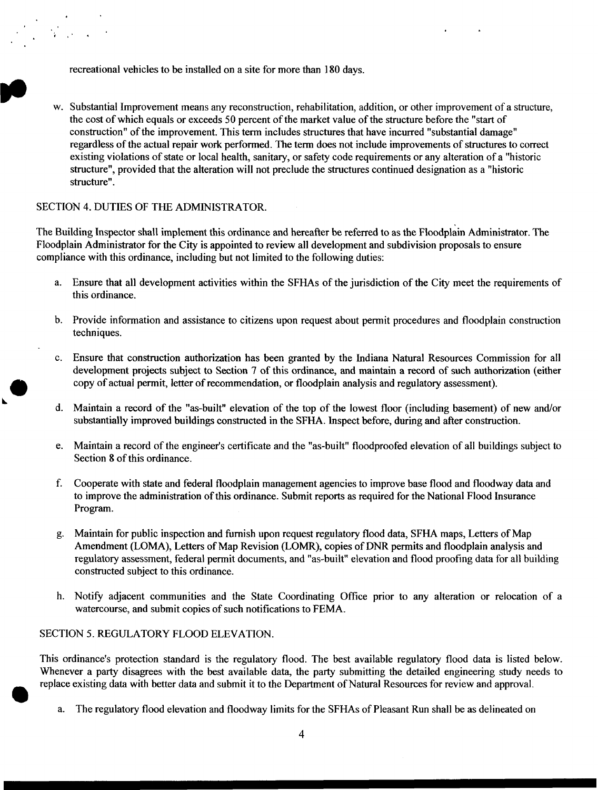recreational vehicles to be installed on a site for more than 180 days.

w. Substantial Improvement means any reconstruction, rehabilitation, addition, or other improvement of a structure, the cost of which equals or exceeds 50 percent of the market value of the structure before the "start of construction" of the improvement. This term includes structures that have incurred "substantial damage" regardless of the actual repair work performed. The term does not include improvements of structures to correct existing violations of state or local health, sanitary, or safety code requirements or any alteration of a ''historic structure", provided that the alteration will not preclude the structures continued designation as a "historic structure".

#### SECTION 4. DUTIES OF THE ADMINISTRATOR.

The Building Inspector shall implement this ordinance and hereafter be referred to as the Floodplain Administrator. The Floodplain Administrator for the City is appointed to review all development and subdivision proposals to ensure compliance with this ordinance, including but not limited to the following duties:

- a. Ensure that all development activities within the SFHAs of the jurisdiction of the City meet the requirements of this ordinance.
- b. Provide information and assistance to citizens upon request about permit procedures and floodplain construction techniques .
- c. Ensure that construction authorization has been granted by the Indiana Natural Resources Commission for all development projects subject **to** Section 7 of this ordinance, and maintain a record of such authorization (either copy of actual permit, letter of recommendation, or floodplain analysis and regulatory assessment).
- d. Maintain a record of the "as-built'' elevation of the top of the lowest floor (including basement) of new and/or substantially improved buildings constructed in the SFHA. Inspect before, during and after construction.
- Maintain a record of the engineer's certificate and the "as-built" floodproofed elevation of all buildings subject to e. Section 8 of this ordinance.
- Cooperate with state and federal floodplain management agencies to improve base flood and floodway data and to improve the administration of this ordinance. Submit reports **as** required for the National Flood Insurance Program. f.
- Maintain for public inspection and furnish upon request regulatory flood data, SFHA maps, Letters of Map Amendment (LOMA), Letters of Map Revision (LOMR), copies of DNR permits and floodplain analysis and regulatory assessment, federal permit documents, and ''as-built" elevation and flood proofing data for all building constructed subject to this ordinance.
- h. Notify adjacent communities and the State Coordinating Office prior to any alteration or relocation of a watercourse, and submit copies of such notifications to FEMA.

#### SECTION *5.* REGULATORY FLOOD ELEVATION.

This ordinance's protection standard is the regulatory flood. The best available regulatory flood data is listed below. Whenever a party disagrees with the best available data, the party submitting the detailed engineering study needs to replace existing data with better data and submit it to the Department of Natural Resources for review and approval.

The regulatory flood elevation and floodway limits for the SFHAs of Pleasant Run shall be as delineated on a.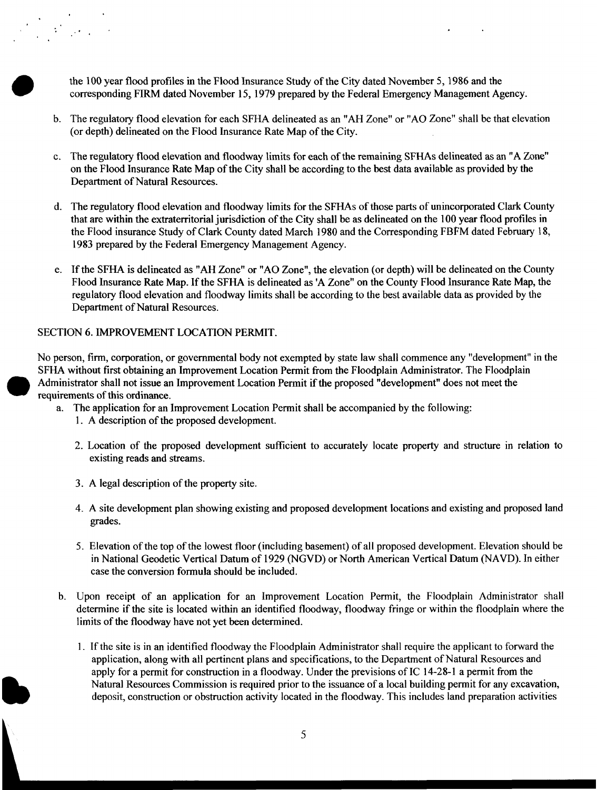the **100** year flood profiles in the Flood Insurance Study of the City dated November **5,1986** and the corresponding FIRM dated November **15, 1979** prepared by the Federal Emergency Management Agency.

 $\sim$   $\sim$ 

- b. The regulatory flood elevation for each SFHA delineated as an "AH Zone" or "AO Zone" shall be that elevation (or depth) delineated on the Flood Insurance Rate Map of the City.
- c. The regulatory flood elevation and floodway limits for each of the remaining **SFHAs** delineated as an "A Zone" on the Flood Insurance Rate Map of the City shall be according to the best data available as provided by the Department of Natural Resources.
- d. The regulatory flood elevation and floodway limits for the SFHAs of those parts of unincorporated Clark County that are within the extraterritorial jurisdiction of the City shall be as delineated on the **100** year flood profiles in the Flood insurance Study of Clark County dated March **1980** and the Corresponding FBFM dated February **18, 1983** prepared by the Federal Emergency Management Agency.
- e. If the SFHA is delineated as "AH Zone" or "AO Zone", the elevation (or depth) will be delineated on the County Flood Insurance Rate Map. If the SFHA is delineated **as** 'A Zone" on the County Flood Insurance Rate Map, the regulatory flood elevation and floodway limits shall be according to the best available data as provided by the Department of Natural Resources.

#### SECTION 6. IMPROVEMENT LOCATION PERMIT.

No person, firm, corporation, or governmental body not exempted by state law shall commence any "development" in the SFHA without first obtaining an Improvement Location Permit from the Floodplain Administrator. The Floodplain Administrator shall not issue an Improvement Location Permit if the proposed "development" does not meet the requirements of this ordinance.

- a. The application for an Improvement Location Permit shall be accompanied by the following:
	- 1. A description of the proposed development.
	- 2. Location of the proposed development sufficient to accurately locate property and structure in relation to existing reads and streams.
	- **3.** A legal description of the property site.
	- 4. A site development plan showing existing and proposed development locations and existing and proposed land grades.
	- 5. Elevation of the top of the lowest floor (including basement) of all proposed development. Elevation should be in National Geodetic Vertical Datum of **1929** (NGVD) or North American Vertical Datum (NAVD). In either case the conversion formula should be included.
- b. Upon receipt of an application for an Improvement Location Permit, the Floodplain Administrator shall determine if the site is located within an identified floodway, floodway fringe or within the floodplain where the limits of the floodway have not yet been determined.
	- 1. If the site is in an identified floodway the Floodplain Administrator shall require the applicant to forward the application, along with all pertinent plans and specifications, to the Department of Natural Resources and apply for a permit for construction in a floodway. Under the previsions of IC **14-28-1** a permit from the Natural Resources Commission is required prior to the issuance of a local building permit for any excavation, deposit, construction or obstruction activity located in the floodway. This includes land preparation activities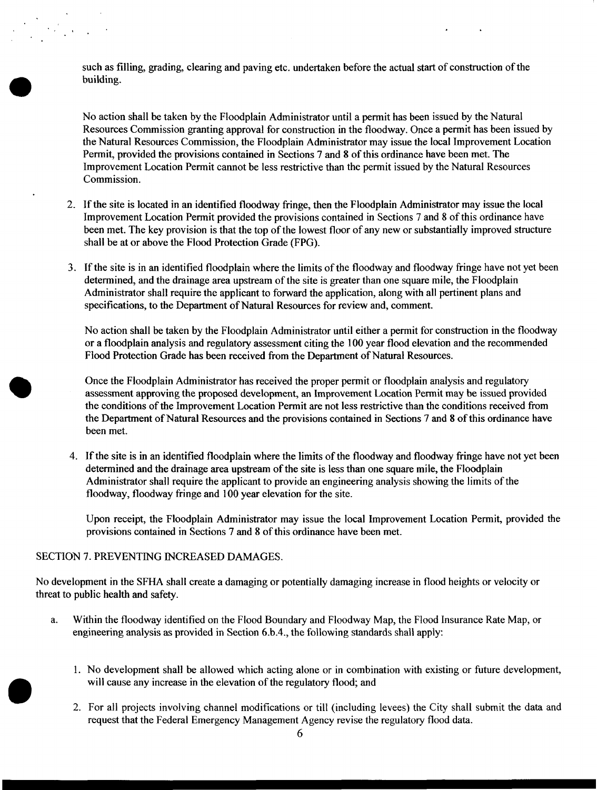such as filling, grading, clearing and paving etc. undertaken before the actual start of construction of the building.

No action shall be taken by the Floodplain Administrator until a permit has been issued by the Natural Resources Commission granting approval for construction in the floodway. Once a permit has been issued by the Natural Resources Commission, the Floodplain Administrator may issue the local Improvement Location Permit, provided the provisions contained in Sections 7 and 8 of this ordinance have been met. The Improvement Location Permit cannot be less restrictive than the permit issued by the Natural Resources Commission.

- 2. If the site is located in an identified floodway fringe, then the Floodplain Administrator may issue the local Improvement Location Permit provided the provisions contained in Sections 7 and 8 of this ordinance have been met. The key provision is that the top of the lowest floor of any new or substantially improved structure shall be at or above the Flood Protection Grade (FPG).
- 3. If the site is in an identified floodplain where the limits of the floodway and floodway fringe have not yet been determined, and the drainage area upstream of the site is greater than one square mile, the Floodplain Administrator shall require the applicant to forward the application, along with all pertinent plans and specifications, to the Department of Natural Resources for review and, comment.

No action shall be taken by the Floodplain Administrator until either a permit for construction in the floodway or a floodplain analysis and regulatory assessment citing the 100 year flood elevation and the recommended Flood Protection Grade has been received from the Department of Natural Resources.

- Once the Floodplain Administrator has received the proper permit or floodplain analysis and regulatory assessment approving the proposed development, an Improvement Location Permit may be issued provided the conditions of the Improvement Location Permit are not less restrictive than the conditions received from the Department of Natural Resources and the provisions contained in Sections 7 and 8 of this ordinance have been met.
- 4. If the site is in an identified floodplain where the limits of the floodway and floodway fringe have not yet been determined and the drainage area upstream of the site is less than one square mile, the Floodplain Administrator shall require the applicant to provide an engineering analysis showing the limits of the floodway, floodway fringe and 100 year elevation for the site.

Upon receipt, the Floodplain Administrator may issue the local Improvement Location Permit, provided the provisions contained in Sections 7 and 8 of this ordinance have been met.

## SECTION 7. PREVENTING INCREASED DAMAGES.

No development in the SFHA shall create a damaging or potentially damaging increase in flood heights or velocity or threat to public health and safety.

- a. Within the floodway identified on the Flood Boundary and Floodway Map, the Flood Insurance Rate Map, or engineering analysis **as** provided in Section 6.b.4., the following standards shall apply:
	- 1. No development shall be allowed which acting alone or in combination with existing or future development, will cause any increase in the elevation of the regulatory flood; and
	- 2. For all projects involving channel modifications or till (including levees) the City shall submit the data and request that the Federal Emergency Management Agency revise the regulatory flood data.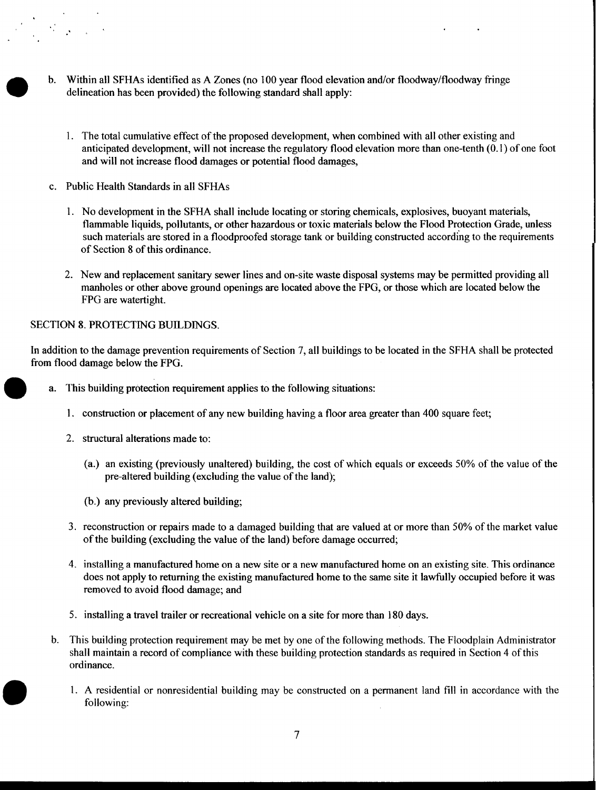- b. Within all SFHAs identified as **A** Zones (no 100 year flood elevation and/or floodway/floodway fringe delineation has been provided) the following standard shall apply:
	- 1. The total cumulative effect of the proposed development, when combined with all other existing and anticipated development, will not increase the regulatory flood elevation more than one-tenth (0.1) of one foot and will not increase flood damages or potential flood damages,
- c. Public Health Standards in all **SFHAs** 
	- 1. No development in the SFHA shall include locating or storing chemicals, explosives, buoyant materials, flammable liquids, pollutants, or other hazardous or toxic materials below the Flood Protection Grade, unless such materials are stored in a floodproofed storage tank or building constructed according to the requirements of Section 8 of this ordinance.
	- 2. New and replacement sanitary sewer lines and on-site waste disposal systems may be permitted providing all manholes or other above ground openings are located above the FPG, or those which are located below the FPG are watertight.

#### SECTION 8. PROTECTING BUILDINGS.

In addition to the damage prevention requirements of Section 7, all buildings to be located in the SFHA shall be protected from flood damage below the FPG.

- a. This building protection requirement applies to the following situations:
	- **1.** construction or placement of any new building having a floor area greater than 400 square feet;
	- 2. structural alterations made to:
		- (a.) an existing (previously unaltered) building, the cost of which equals or exceeds 50% of the value of the pre-altered building (excluding the value of the land);
		- (b.) any previously altered building;
	- 3. reconstruction or repairs made to a damaged building that are valued at or more than 50% of the market value of the building (excluding the value of the land) before damage occurred;
	- 4. installing a manufactured home on a new site or a new manufactured home on an existing site. This ordinance does not apply to returning the existing manufactured home to the same site it lawfully occupied before it was removed to avoid flood damage; and
	- 5. installing a travel trailer or recreational vehicle on a site for more than 180 days.
- b. This building protection requirement may be met by one of the following methods. The Floodplain Administrator shall maintain a record of compliance with these building protection standards as required in Section 4 of this ordinance.
	- 1. A residential or nonresidential building may be constructed on a permanent land fill in accordance with the following: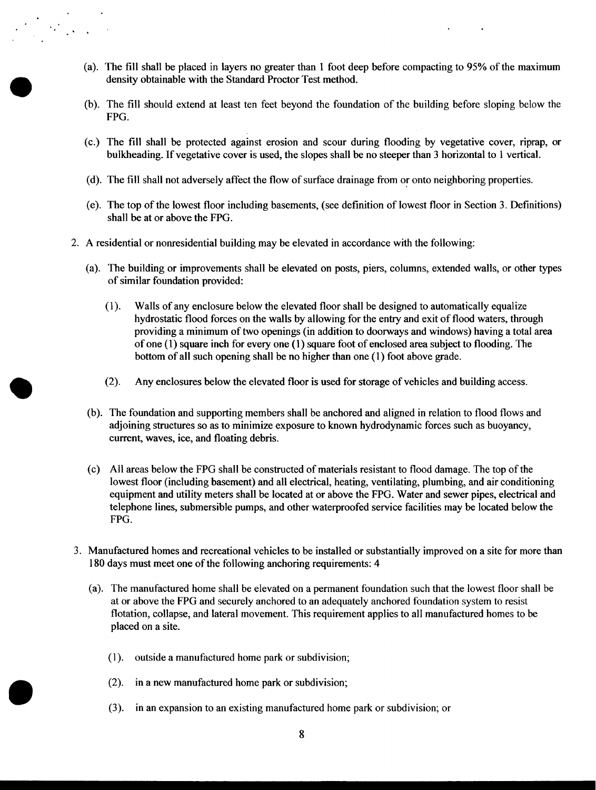- (a). The fill shall be placed in layers no greater than 1 foot deep before compacting to 95% of the maximum density obtainable with the Standard Proctor Test method.
- (b). The fill should extend at least ten feet beyond the foundation of the building before sloping below the **FPG.**
- (c.) The fill shall be protected against erosion and scour during flooding by vegetative cover, riprap, or bulkheading. If vegetative cover is used, the slopes shall be no steeper than 3 horizontal to 1 vertical.
- (d). The fill shall not adversely affect the flow of surface drainage from or onto neighboring properties.
- (e). The top of the lowest floor including basements, (see definition of lowest floor in Section 3. Definitions) shall be at or above the **FPG.**
- 2. **A** residential or nonresidential building may be elevated in accordance with the following:

- (a). The building or improvements shall be elevated on posts, piers, columns, extended walls, or other types of similar foundation provided:
	- (1). Walls of any enclosure below the elevated floor shall be designed to automatically equalize hydrostatic flood forces on the walls by allowing for the entry and exit of flood waters, through providing a minimum of two openings (in addition to doorways and windows) having a total area of one (1) square inch for every one (1) square foot of enclosed area subject to flooding. The bottom of all such opening shall be no higher than one (1) foot above grade.
	- (2). Any enclosures below the elevated floor is used for storage of vehicles and building access.
- (b). The foundation and supporting members shall be anchored and aligned in relation to flood flows and adjoining structures so **as** to minimize exposure to known hydrodynamic forces such as buoyancy, current, waves, ice, and floating debris.
- (c) All areas below the **FPG** shall be constructed of materials resistant to flood damage. The top of the lowest floor (including basement) and all electrical, heating, ventilating, plumbing, and air conditioning equipment and utility meters shall be located at or above the **FPG.** Water and sewer pipes, electrical and telephone lines, submersible pumps, and other waterproofed service facilities may be located below the **FPG.**
- 3. Manufactured homes and recreational vehicles to be installed or substantially improved on a site for more than 180 days must meet one of the following anchoring requirements: **4** 
	- (a). The manufactured home shall be elevated on a permanent foundation such that the lowest floor shall be at or above the **FPG** and securely anchored to an adequately anchored foundation system to resist flotation, collapse, and lateral movement. This requirement applies to all manufactured homes to be placed on a site.
		- (1). outside a manufactured home park or subdivision;
		- *(2).*  in a new manufactured home park or subdivision;
		- *(3).*  in an expansion to an existing manufactured home park or subdivision; or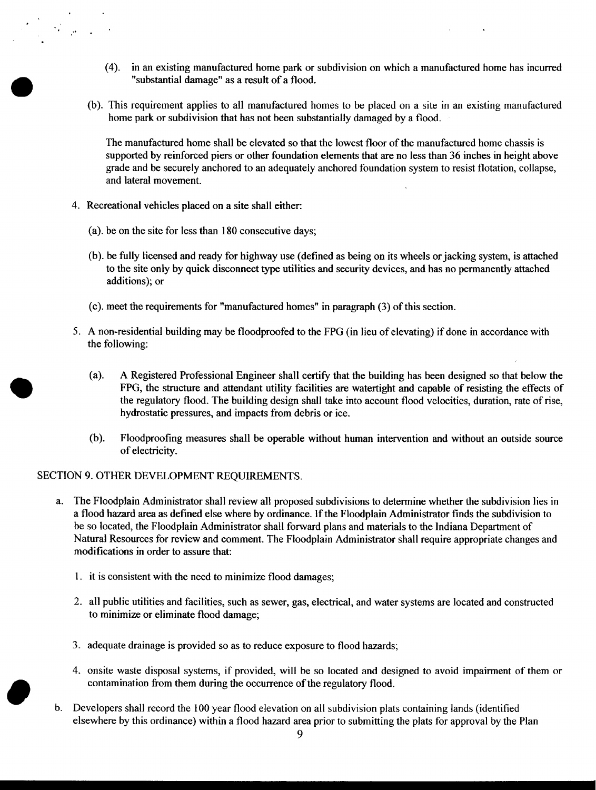- (4). in an existing manufactured home park or subdivision on which a manufactured home has incurred "substantial damage" as a result of a flood.
- (b). This requirement applies to all manufactured homes to be placed on a site in an existing manufactured home park or subdivision that has not been substantially damaged by a flood.

The manufactured home shall be elevated so that the lowest floor of the manufactured home chassis is supported by reinforced piers or other foundation elements that are no less than 36 inches in height above grade and be securely anchored to an adequately anchored foundation system to resist flotation, collapse, and lateral movement.

**4.** Recreational vehicles placed on a site shall either:

- (a). be on the site for less than 180 consecutive days;
- (b). be fully licensed and ready for highway use (defined as being on its wheels orjacking system, is attached to the site only by quick disconnect type utilities and security devices, and has no permanently attached additions); or
- (c). meet the requirements for "manufactured homes" in paragraph (3) of this section.
- 5. A non-residential building may be floodproofed to the FPG (in lieu of elevating) if done in accordance with the following:
	- (a). A Registered Professional Engineer shall certify that the building has been designed so that below the FPG, the structure and attendant utility facilities **are** watertight and capable of resisting the effects of the regulatory flood. The building design shall take into account flood velocities, duration, rate of rise, hydrostatic pressures, and impacts from debris or ice.
	- Floodproofing measures shall be operable without human intervention and without an outside source of electricity. (b).

# SECTION 9. OTHER DEVELOPMENT REQUIREMENTS.

- a. The Floodplain Administrator shall review all proposed subdivisions to determine whether the subdivision lies in a flood hazard area as defined else where by ordinance. If the Floodplain Administrator finds the subdivision to be so located, the Floodplain Administrator shall forward plans and materials to the Indiana Department of Natural Resources for review and comment. The Floodplain Administrator shall require appropriate changes and modifications in order to assure that:
	- 1. it is consistent with the need to minimize flood damages;
	- 2. all public utilities and facilities, such as sewer, gas, electrical, and water systems are located and constructed to minimize or eliminate flood damage;
	- *3.* adequate drainage is provided so as to reduce exposure to flood hazards;
	- **4.** onsite waste disposal systems, if provided, will be so located and designed to avoid impairment of them or contamination from them during the occurrence of the regulatory flood.
- b. Developers shall record the 100 year flood elevation on all subdivision plats containing lands (identified elsewhere by this ordinance) within a flood hazard area prior to submitting the plats for approval by the Plan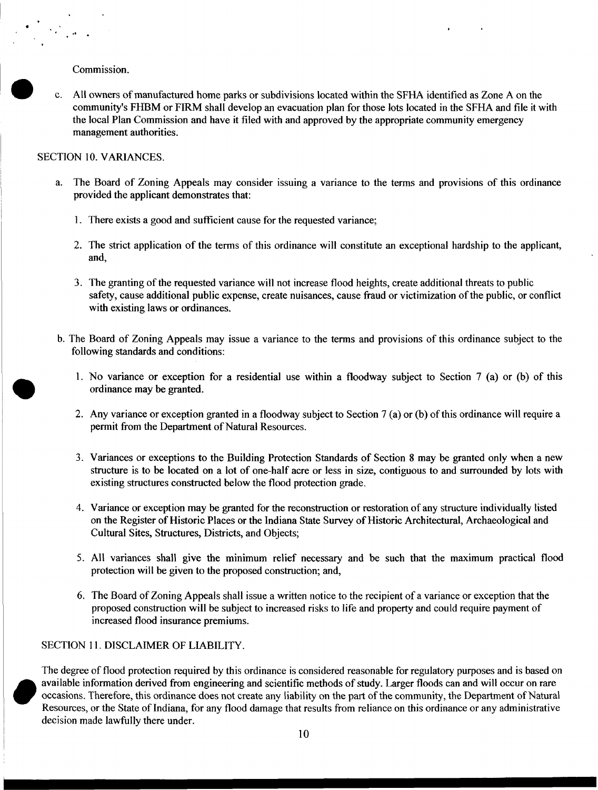Commission.

 $\frac{1}{2}$   $\theta = \frac{1}{2}$ 

c. All owners of manufactured home parks or subdivisions located within the SFHA identified as Zone **A** on the community's FHBM or FIRM shall develop an evacuation plan for those lots located in the SFHA and file it with the local Plan Commission and have it filed with and approved by the appropriate community emergency management authorities.

#### SECTION 10. VARIANCES.

- a. The Board of Zoning Appeals may consider issuing a variance to the terms and provisions of this ordinance provided the applicant demonstrates that:
	- **1.** There exists a good and sufficient cause for the requested variance;
	- 2. The strict application of the terms of this ordinance will constitute an exceptional hardship to the applicant, and,
	- **3.** The granting of the requested variance will not increase flood heights, create additional threats to public safety, cause additional public expense, create nuisances, cause fraud or victimization of the public, or conflict with existing laws or ordinances.
- b. The Board of Zoning Appeals may issue a variance to the terms and provisions of this ordinance subject to the following standards and conditions:
	- 1. No variance or exception for a residential use within a floodway subject to Section 7 (a) or (b) of this ordinance may be granted.
	- **2.** Any variance or exception granted in a floodway subject to Section 7 **(a)** or (b) of this ordinance will require a permit from the Department of Natural Resources.
	- **3.** Variances or exceptions to the Building Protection Standards of Section **8** may be granted only when a new structure is to be located on a lot of one-half acre or less in size, contiguous to and surrounded by lots with existing structures constructed below the flood protection grade.
	- 4. Variance or exception may be granted for the reconstruction or restoration of any structure individually listed on the Register **of** Historic Places or the Indiana State Survey of Historic Architectural, Archaeological and Cultural Sites, Structures, Districts, and Objects;
	- *5.* **All** variances shall give the minimum relief necessary and be such that the maximum practical flood protection will be given to the proposed construction; and,
	- *6.* The Board of Zoning Appeals shall issue a written notice to the recipient of a variance or exception that the proposed construction will be subject to increased risks to life and property and could require payment of increased flood insurance premiums.

#### SECTION 11. DISCLAIMER OF LIABILITY.

The degree of flood protection required by this ordinance is considered reasonable for regulatory purposes and is based on available information derived from engineering and scientific methods of study. Larger floods can and will occur on rare occasions. Therefore, this ordinance does not create any liability on the part of the community, the Department of Natural Resources, or the State of Indiana, for any flood damage that results from reliance on this ordinance or any administrative decision made lawfully there under.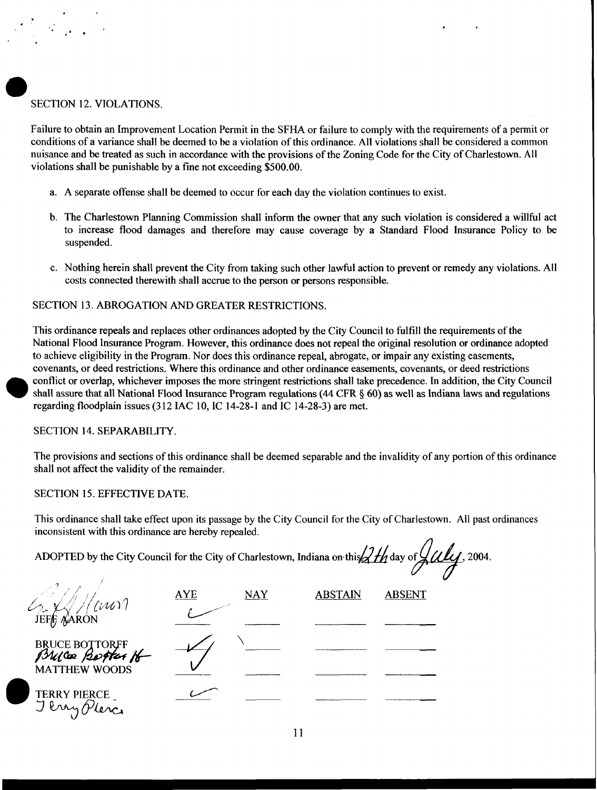# SECTION 12. VIOLATIONS.

Failure to obtain an Improvement Location Permit in the SFHA or failure to comply with the requirements of a permit or conditions of a variance shall be deemed to be a violation of this ordinance. All violations shall be considered a common nuisance and be treated as such in accordance with the provisions of the Zoning Code for the City of Charlestown. All violations shall be punishable by a fine not exceeding \$500.00.

- a. **A** separate offense shall be deemed to occur for each day the violation continues to exist.
- b. The Charlestown Planning Commission shall inform the owner that any such violation is considered a willful act to increase flood damages and therefore may cause coverage by a Standard Flood Insurance Policy to be suspended.
- c. Nothing herein shall prevent the City from taking such other lawful action to prevent or remedy any violations. All costs connected therewith shall accrue to the person or persons responsible.

# SECTION 13. ABROGATION AND GREATER RESTRICTIONS.

This ordinance repeals and replaces other ordinances adopted by the City Council to fulfill the requirements of the National Flood Insurance Program. However, this ordinance does not repeal the original resolution or ordinance adopted to achieve eligibility in the Program. Nor does this ordinance repeal, abrogate, or impair any existing easements, covenants, or deed restrictions. Where this ordinance and other ordinance easements, covenants, or deed restrictions conflict or overlap, whichever imposes the more stringent restrictions shall take precedence. In addition, the City Council shall assure that all National Flood Insurance Program regulations (44 CFR § 60) as well **as** Indiana laws and regulations regarding floodplain issues (3 12 IAC 10, IC 14-28-1 and IC 14-28-3) are met.

## SECTION 14. SEPARABILITY.

The provisions and sections of this ordinance shall be deemed separable and the invalidity of any portion of this ordinance shall not affect the validity of the remainder.

## SECTION 15. EFFECTIVE DATE.

This ordinance shall take effect upon its passage by the City Council for the City of Charlestown. All past ordinances inconsistent with this ordinance are hereby repealed.

ADOPTED by the City Council for the City of Charlestown, Indiana on this  $\frac{2H_1}{2}$  day of  $\frac{L}{L}$ , 2004.

| $^{\prime}$ ( $\mathcal{W}$           | <b>AYE</b> | <b>NAY</b> | <b>ABSTAIN</b> | <b>ABSENT</b> |
|---------------------------------------|------------|------------|----------------|---------------|
| JEFF AARON                            |            |            |                |               |
| BRUCE BOTTORFF<br>PSULCOR Bestress 16 |            |            |                |               |
| <b>MATTHEW WOODS</b>                  |            |            |                |               |
| <b>TERRY PIERCE</b>                   |            |            |                |               |
| Pray Place                            |            |            |                |               |

11

I